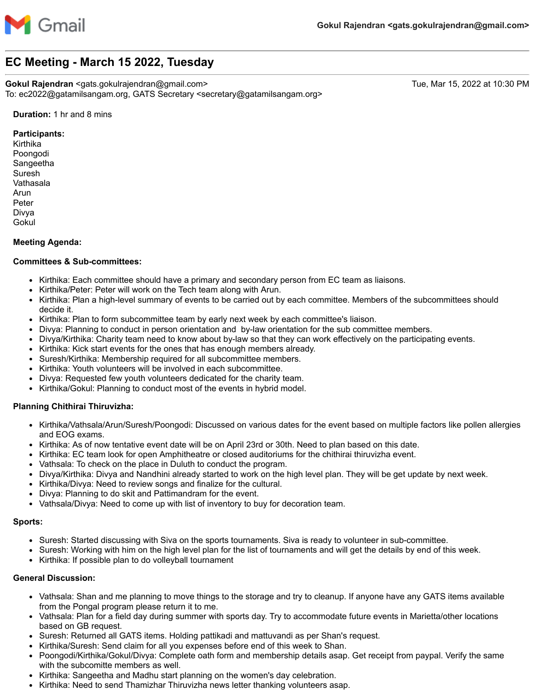

# **EC Meeting - March 15 2022, Tuesday**

**Gokul Rajendran** <gats.gokulrajendran@gmail.com> Tue, Mar 15, 2022 at 10:30 PM To: ec2022@gatamilsangam.org, GATS Secretary <secretary@gatamilsangam.org>

### **Duration:** 1 hr and 8 mins

#### **Participants:**

Kirthika Poongodi Sangeetha Suresh Vathasala Arun Peter Divya Gokul

## **Meeting Agenda:**

## **Committees & Sub-committees:**

- Kirthika: Each committee should have a primary and secondary person from EC team as liaisons.
- Kirthika/Peter: Peter will work on the Tech team along with Arun.
- Kirthika: Plan a high-level summary of events to be carried out by each committee. Members of the subcommittees should decide it.
- Kirthika: Plan to form subcommittee team by early next week by each committee's liaison.
- Divya: Planning to conduct in person orientation and by-law orientation for the sub committee members.
- Divya/Kirthika: Charity team need to know about by-law so that they can work effectively on the participating events.
- Kirthika: Kick start events for the ones that has enough members already.
- Suresh/Kirthika: Membership required for all subcommittee members.  $\bullet$
- $\bullet$ Kirthika: Youth volunteers will be involved in each subcommittee.
- Divya: Requested few youth volunteers dedicated for the charity team.
- Kirthika/Gokul: Planning to conduct most of the events in hybrid model.

## **Planning Chithirai Thiruvizha:**

- Kirthika/Vathsala/Arun/Suresh/Poongodi: Discussed on various dates for the event based on multiple factors like pollen allergies and EOG exams.
- Kirthika: As of now tentative event date will be on April 23rd or 30th. Need to plan based on this date.
- Kirthika: EC team look for open Amphitheatre or closed auditoriums for the chithirai thiruvizha event.
- Vathsala: To check on the place in Duluth to conduct the program.
- Divya/Kirthika: Divya and Nandhini already started to work on the high level plan. They will be get update by next week.
- Kirthika/Divya: Need to review songs and finalize for the cultural.
- Divya: Planning to do skit and Pattimandram for the event.
- Vathsala/Divya: Need to come up with list of inventory to buy for decoration team.

#### **Sports:**

- Suresh: Started discussing with Siva on the sports tournaments. Siva is ready to volunteer in sub-committee.
- Suresh: Working with him on the high level plan for the list of tournaments and will get the details by end of this week.
- Kirthika: If possible plan to do volleyball tournament

#### **General Discussion:**

- Vathsala: Shan and me planning to move things to the storage and try to cleanup. If anyone have any GATS items available from the Pongal program please return it to me.
- Vathsala: Plan for a field day during summer with sports day. Try to accommodate future events in Marietta/other locations based on GB request.
- Suresh: Returned all GATS items. Holding pattikadi and mattuvandi as per Shan's request.
- Kirthika/Suresh: Send claim for all you expenses before end of this week to Shan.
- Poongodi/Kirthika/Gokul/Divya: Complete oath form and membership details asap. Get receipt from paypal. Verify the same with the subcomitte members as well.
- Kirthika: Sangeetha and Madhu start planning on the women's day celebration.
- Kirthika: Need to send Thamizhar Thiruvizha news letter thanking volunteers asap.